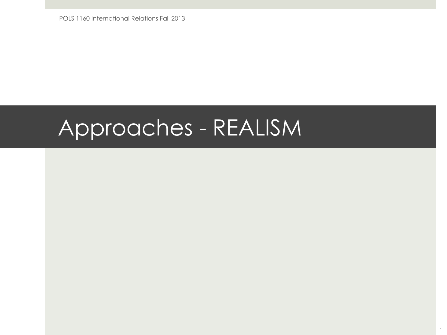POLS 1160 International Relations Fall 2013

## Approaches - REALISM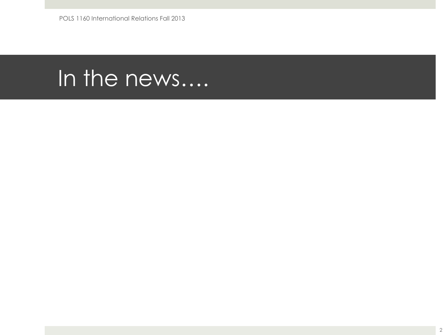### In the news....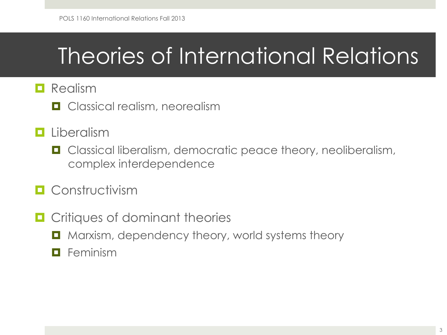# Theories of International Relations

#### $\blacksquare$  Realism

 $\Box$  Classical realism, neorealism

#### $\blacksquare$  Liberalism

■ Classical liberalism, democratic peace theory, neoliberalism, complex interdependence

#### **<u>n</u>** Constructivism

- $\blacksquare$  Critiques of dominant theories
	- Marxism, dependency theory, world systems theory
	- $\blacksquare$  Feminism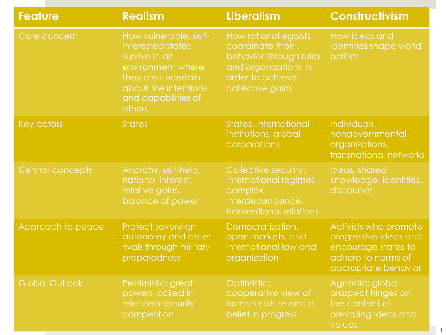| <b>Feature</b>        | <b>Realism</b>                                                                                                                                                         | <b>Liberalism</b>                                                                                                                  | <b>Constructivism</b>                                                                                               |  |
|-----------------------|------------------------------------------------------------------------------------------------------------------------------------------------------------------------|------------------------------------------------------------------------------------------------------------------------------------|---------------------------------------------------------------------------------------------------------------------|--|
| Core concern          | How vulnerable, self-<br>interested states<br>survive in an<br>environment where<br>they are uncertain<br>about the intentions<br>and capabilities of<br><b>others</b> | How rational egoists<br>coordinate their<br>behavior through rules<br>and organizations in<br>order to achieve<br>collective gains | How ideas and<br>identities shape world<br>politics                                                                 |  |
| Key actors            | <b>States</b>                                                                                                                                                          | States, international<br>institutions, global<br>corporations                                                                      | Individuals,<br>nongovernmental<br>organizations,<br>transnational networks                                         |  |
| Central concepts      | Anarchy, self-help,<br>national interest,<br>relative gains,<br>balance of power                                                                                       | Collective security,<br>international regimes,<br>complex<br>interdependence,<br>transnational relations                           | Ideas, shared<br>knowledge, identities,<br>discourses                                                               |  |
| Approach to peace     | Protect sovereign<br>autonomy and deter<br>rivals through military<br>preparedness                                                                                     | Democratization,<br>open markets, and<br>international law and<br>organization                                                     | Activists who promote<br>progressive ideas and<br>encourage states to<br>adhere to norms of<br>appropriate behavior |  |
| <b>Global Outlook</b> | Pessimistic: great<br>powers locked in<br>relentless security<br>competition                                                                                           | Optimistic:<br>cooperative view of<br>human nature and a<br>belief in progress                                                     | Agnostic: global<br>prospect hinges on<br>the content of<br>prevailing ideas and<br>values                          |  |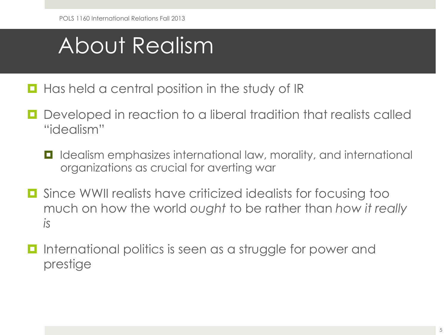# About Realism

- $\blacksquare$  Has held a central position in the study of IR
- Developed in reaction to a liberal tradition that realists called "idealism"
	- Idealism emphasizes international law, morality, and international organizations as crucial for averting war
- Since WWII realists have criticized idealists for focusing too much on how the world *ought* to be rather than *how it really is*
- International politics is seen as a struggle for power and prestige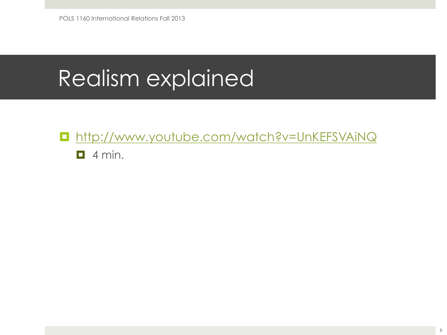## Realism explained

■ http://www.youtube.com/watch?v=UnKEFSVAiNQ  $\Box$  4 min.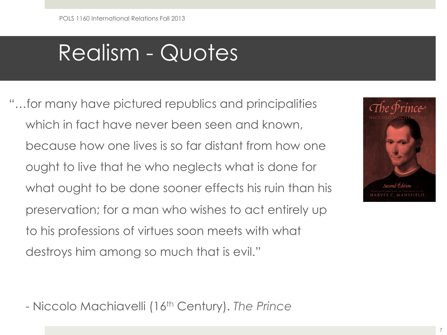### Realism - Quotes

"…for many have pictured republics and principalities which in fact have never been seen and known, because how one lives is so far distant from how one ought to live that he who neglects what is done for what ought to be done sooner effects his ruin than his preservation; for a man who wishes to act entirely up to his professions of virtues soon meets with what destroys him among so much that is evil."



- Niccolo Machiavelli (16th Century). *The Prince*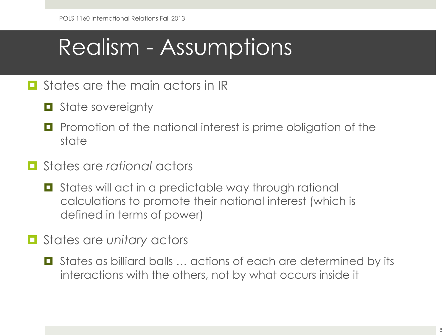## Realism - Assumptions

#### $\Box$  States are the main actors in IR

- $\Box$  State sovereignty
- Promotion of the national interest is prime obligation of the state
- ¤ States are *rational* actors
	- States will act in a predictable way through rational calculations to promote their national interest (which is defined in terms of power)
- **□** States are *unitary* actors
	- States as billiard balls ... actions of each are determined by its interactions with the others, not by what occurs inside it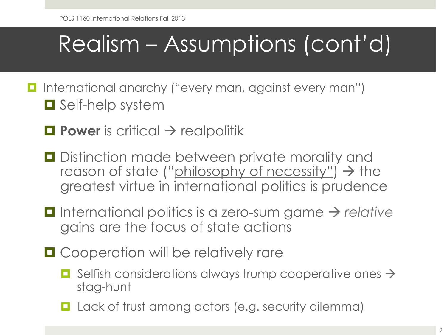# Realism – Assumptions (cont'd)

- International anarchy ("every man, against every man")  $\Box$  Self-help system
	- $\Box$  **Power** is critical  $\rightarrow$  realpolitik
	- $\blacksquare$  Distinction made between private morality and reason of state ("philosophy of necessity")  $\rightarrow$  the greatest virtue in international politics is prudence
	- **□** International politics is a zero-sum game → relative gains are the focus of state actions
	- **□** Cooperation will be relatively rare
		- $\Box$  Selfish considerations always trump cooperative ones  $\rightarrow$ stag-hunt
		- $\blacksquare$  Lack of trust among actors (e.g. security dilemma)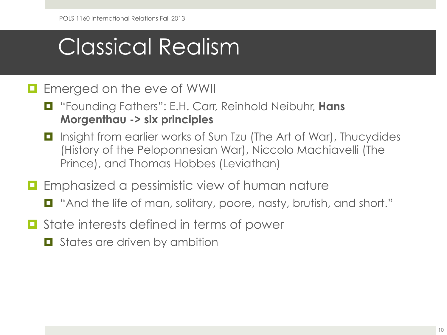# Classical Realism

#### $\blacksquare$  Emerged on the eve of WWII

- ¤ "Founding Fathers": E.H. Carr, Reinhold Neibuhr, **Hans Morgenthau -> six principles**
- Insight from earlier works of Sun Tzu (The Art of War), Thucydides (History of the Peloponnesian War), Niccolo Machiavelli (The Prince), and Thomas Hobbes (Leviathan)
- $\blacksquare$  Emphasized a pessimistic view of human nature
	- "And the life of man, solitary, poore, nasty, brutish, and short."
- **□** State interests defined in terms of power
	- $\blacksquare$  States are driven by ambition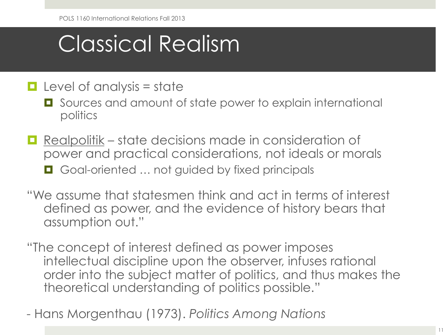# Classical Realism

- $\Box$  Level of analysis = state
	- Sources and amount of state power to explain international politics
- Realpolitik state decisions made in consideration of power and practical considerations, not ideals or morals ■ Goal-oriented ... not guided by fixed principals
- "We assume that statesmen think and act in terms of interest defined as power, and the evidence of history bears that assumption out."
- "The concept of interest defined as power imposes intellectual discipline upon the observer, infuses rational order into the subject matter of politics, and thus makes the theoretical understanding of politics possible."
- Hans Morgenthau (1973). *Politics Among Nations*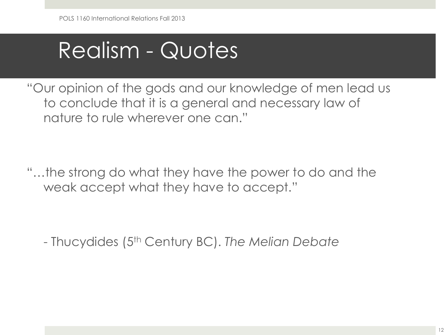## Realism - Quotes

"Our opinion of the gods and our knowledge of men lead us to conclude that it is a general and necessary law of nature to rule wherever one can."

"…the strong do what they have the power to do and the weak accept what they have to accept."

- Thucydides (5th Century BC). *The Melian Debate*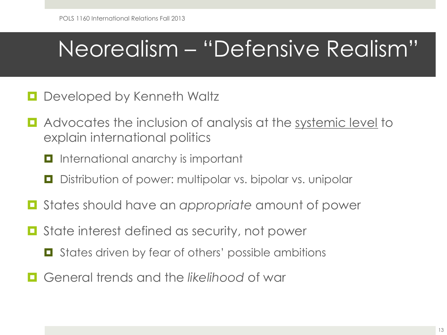# Neorealism – "Defensive Realism"

- Developed by Kenneth Waltz
- **E** Advocates the inclusion of analysis at the systemic level to explain international politics
	- $\blacksquare$  International anarchy is important
	- Distribution of power: multipolar vs. bipolar vs. unipolar
- ¤ States should have an *appropriate* amount of power
- State interest defined as security, not power
	- States driven by fear of others' possible ambitions
- ¤ General trends and the *likelihood* of war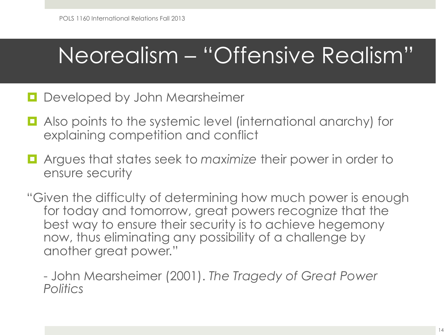### Neorealism – "Offensive Realism"

- $\Box$  Developed by John Mearsheimer
- Also points to the systemic level (international anarchy) for explaining competition and conflict
- Argues that states seek to *maximize* their power in order to ensure security
- "Given the difficulty of determining how much power is enough for today and tomorrow, great powers recognize that the best way to ensure their security is to achieve hegemony now, thus eliminating any possibility of a challenge by another great power."

- John Mearsheimer (2001). *The Tragedy of Great Power Politics*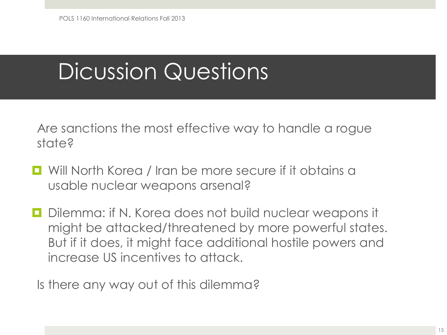# Dicussion Questions

Are sanctions the most effective way to handle a rogue state?

- Will North Korea / Iran be more secure if it obtains a usable nuclear weapons arsenal?
- Dilemma: if N. Korea does not build nuclear weapons it might be attacked/threatened by more powerful states. But if it does, it might face additional hostile powers and increase US incentives to attack.

Is there any way out of this dilemma?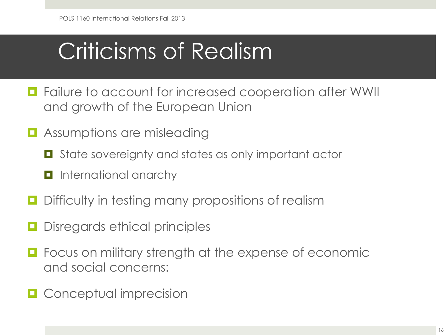# Criticisms of Realism

- Failure to account for increased cooperation after WWII and growth of the European Union
- $\blacksquare$  Assumptions are misleading
	- State sovereignty and states as only important actor
	- $\blacksquare$  International anarchy
- $\blacksquare$  Difficulty in testing many propositions of realism
- Disregards ethical principles
- Focus on military strength at the expense of economic and social concerns:
- $\Box$  Conceptual imprecision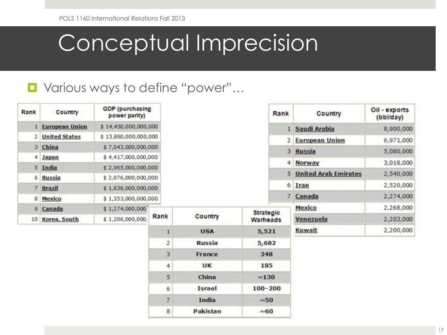### Conceptual Imprecision

#### ■ Various ways to define "power"...

| Rank           | Country               | <b>GDP</b> (purchasing<br>power parity) |      |               | Rank               | Country                     | Oil - exports<br>(bbl/day) |
|----------------|-----------------------|-----------------------------------------|------|---------------|--------------------|-----------------------------|----------------------------|
|                | <b>European Union</b> | \$14,450,000,000,000                    |      |               |                    | 1 Saudi Arabia              | 8,900,000                  |
| 2              | <b>United States</b>  | \$13,860,000,000,000                    |      |               | 2 <sup>1</sup>     | <b>European Union</b>       | 6,971,000                  |
|                | 3 China               | \$7,043,000,000,000                     |      |               |                    | 3 Russia                    | 5,080,000                  |
| 4              | <b>Japan</b>          | \$4,417,000,000,000                     |      |               |                    |                             |                            |
|                | 5 India               | \$2,965,000,000,000                     |      |               | $\left  4 \right $ | Norway                      | 3,018,000                  |
| 6              | <b>Russia</b>         | \$2,076,000,000,000                     |      |               | 5 <sup>1</sup>     | <b>United Arab Emirates</b> | 2,540,000                  |
| $\overline{7}$ | <b>Brazil</b>         | \$1,838,000,000,000                     |      |               | 6                  | Iran                        | 2,520,000                  |
| 8              | Mexico                | \$1,353,000,000,000                     |      |               |                    | 7 Canada                    | 2,274,000                  |
| 9              | Canada                | \$1,274,000,000]                        |      |               | <b>Strategic</b>   | Mexico                      | 2,268,000                  |
| 10             | Korea, South          | \$1,206,000,000                         | Rank | Country       | Warheads           | Venezuela                   | 2,203,000                  |
|                |                       |                                         | 1    | <b>USA</b>    | 5,521              | Kuwait                      | 2,200,000                  |
|                |                       |                                         | 2    | <b>Russia</b> | 5,682              |                             |                            |
|                |                       |                                         | 3    | France        | 348                |                             |                            |
|                |                       |                                         | 4    | <b>UK</b>     | 185                |                             |                            |
|                |                       |                                         | 5    | China         | $\sim$ 130         |                             |                            |
|                |                       |                                         | 6    | <b>Israel</b> | $100 - 200$        |                             |                            |
|                |                       |                                         | 7    | India         | ~0.50              |                             |                            |
|                |                       |                                         | 8    | Pakistan      | ~0.60              |                             |                            |